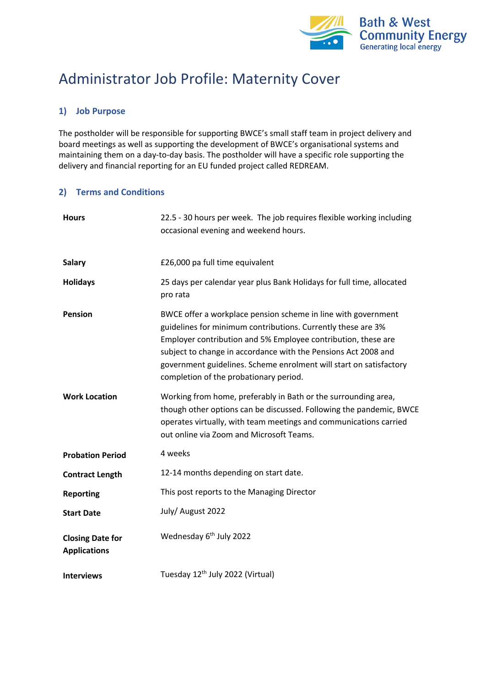

# Administrator Job Profile: Maternity Cover

## **1) Job Purpose**

The postholder will be responsible for supporting BWCE's small staff team in project delivery and board meetings as well as supporting the development of BWCE's organisational systems and maintaining them on a day-to-day basis. The postholder will have a specific role supporting the delivery and financial reporting for an EU funded project called REDREAM.

## **2) Terms and Conditions**

| <b>Hours</b>                                   | 22.5 - 30 hours per week. The job requires flexible working including<br>occasional evening and weekend hours.                                                                                                                                                                                                                                                                   |
|------------------------------------------------|----------------------------------------------------------------------------------------------------------------------------------------------------------------------------------------------------------------------------------------------------------------------------------------------------------------------------------------------------------------------------------|
| Salary                                         | £26,000 pa full time equivalent                                                                                                                                                                                                                                                                                                                                                  |
| <b>Holidays</b>                                | 25 days per calendar year plus Bank Holidays for full time, allocated<br>pro rata                                                                                                                                                                                                                                                                                                |
| Pension                                        | BWCE offer a workplace pension scheme in line with government<br>guidelines for minimum contributions. Currently these are 3%<br>Employer contribution and 5% Employee contribution, these are<br>subject to change in accordance with the Pensions Act 2008 and<br>government guidelines. Scheme enrolment will start on satisfactory<br>completion of the probationary period. |
| <b>Work Location</b>                           | Working from home, preferably in Bath or the surrounding area,<br>though other options can be discussed. Following the pandemic, BWCE<br>operates virtually, with team meetings and communications carried<br>out online via Zoom and Microsoft Teams.                                                                                                                           |
| <b>Probation Period</b>                        | 4 weeks                                                                                                                                                                                                                                                                                                                                                                          |
| <b>Contract Length</b>                         | 12-14 months depending on start date.                                                                                                                                                                                                                                                                                                                                            |
| <b>Reporting</b>                               | This post reports to the Managing Director                                                                                                                                                                                                                                                                                                                                       |
| <b>Start Date</b>                              | July/ August 2022                                                                                                                                                                                                                                                                                                                                                                |
| <b>Closing Date for</b><br><b>Applications</b> | Wednesday 6 <sup>th</sup> July 2022                                                                                                                                                                                                                                                                                                                                              |
| <b>Interviews</b>                              | Tuesday 12 <sup>th</sup> July 2022 (Virtual)                                                                                                                                                                                                                                                                                                                                     |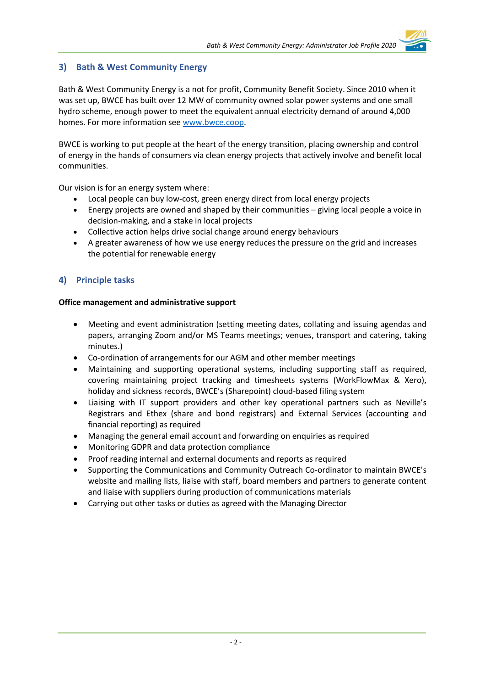## **3) Bath & West Community Energy**

Bath & West Community Energy is a not for profit, Community Benefit Society. Since 2010 when it was set up, BWCE has built over 12 MW of community owned solar power systems and one small hydro scheme, enough power to meet the equivalent annual electricity demand of around 4,000 homes. For more information see www.bwce.coop.

BWCE is working to put people at the heart of the energy transition, placing ownership and control of energy in the hands of consumers via clean energy projects that actively involve and benefit local communities.

Our vision is for an energy system where:

- Local people can buy low-cost, green energy direct from local energy projects
- Energy projects are owned and shaped by their communities giving local people a voice in decision-making, and a stake in local projects
- Collective action helps drive social change around energy behaviours
- A greater awareness of how we use energy reduces the pressure on the grid and increases the potential for renewable energy

# **4) Principle tasks**

#### **Office management and administrative support**

- Meeting and event administration (setting meeting dates, collating and issuing agendas and papers, arranging Zoom and/or MS Teams meetings; venues, transport and catering, taking minutes.)
- Co-ordination of arrangements for our AGM and other member meetings
- Maintaining and supporting operational systems, including supporting staff as required, covering maintaining project tracking and timesheets systems (WorkFlowMax & Xero), holiday and sickness records, BWCE's (Sharepoint) cloud-based filing system
- Liaising with IT support providers and other key operational partners such as Neville's Registrars and Ethex (share and bond registrars) and External Services (accounting and financial reporting) as required
- Managing the general email account and forwarding on enquiries as required
- Monitoring GDPR and data protection compliance
- Proof reading internal and external documents and reports as required
- Supporting the Communications and Community Outreach Co-ordinator to maintain BWCE's website and mailing lists, liaise with staff, board members and partners to generate content and liaise with suppliers during production of communications materials
- Carrying out other tasks or duties as agreed with the Managing Director